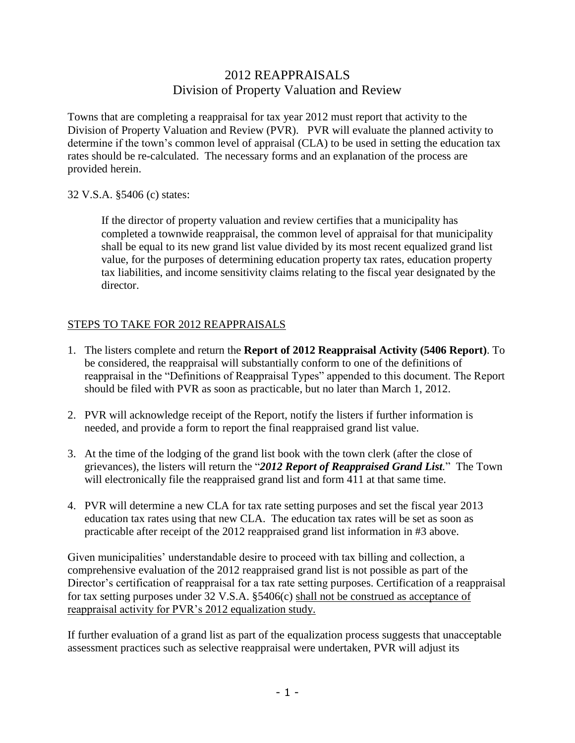## 2012 REAPPRAISALS Division of Property Valuation and Review

Towns that are completing a reappraisal for tax year 2012 must report that activity to the Division of Property Valuation and Review (PVR). PVR will evaluate the planned activity to determine if the town's common level of appraisal (CLA) to be used in setting the education tax rates should be re-calculated. The necessary forms and an explanation of the process are provided herein.

### 32 V.S.A. §5406 (c) states:

If the director of property valuation and review certifies that a municipality has completed a townwide reappraisal, the common level of appraisal for that municipality shall be equal to its new grand list value divided by its most recent equalized grand list value, for the purposes of determining education property tax rates, education property tax liabilities, and income sensitivity claims relating to the fiscal year designated by the director.

### STEPS TO TAKE FOR 2012 REAPPRAISALS

- 1. The listers complete and return the **Report of 2012 Reappraisal Activity (5406 Report)**. To be considered, the reappraisal will substantially conform to one of the definitions of reappraisal in the "Definitions of Reappraisal Types" appended to this document. The Report should be filed with PVR as soon as practicable, but no later than March 1, 2012.
- 2. PVR will acknowledge receipt of the Report, notify the listers if further information is needed, and provide a form to report the final reappraised grand list value.
- 3. At the time of the lodging of the grand list book with the town clerk (after the close of grievances), the listers will return the "*2012 Report of Reappraised Grand List.*" The Town will electronically file the reappraised grand list and form 411 at that same time.
- 4. PVR will determine a new CLA for tax rate setting purposes and set the fiscal year 2013 education tax rates using that new CLA. The education tax rates will be set as soon as practicable after receipt of the 2012 reappraised grand list information in #3 above.

Given municipalities' understandable desire to proceed with tax billing and collection, a comprehensive evaluation of the 2012 reappraised grand list is not possible as part of the Director's certification of reappraisal for a tax rate setting purposes. Certification of a reappraisal for tax setting purposes under 32 V.S.A. §5406(c) shall not be construed as acceptance of reappraisal activity for PVR's 2012 equalization study.

If further evaluation of a grand list as part of the equalization process suggests that unacceptable assessment practices such as selective reappraisal were undertaken, PVR will adjust its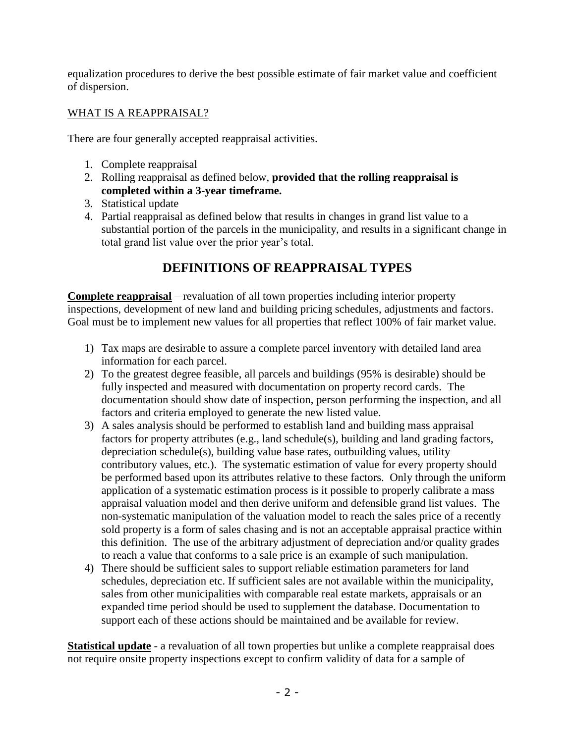equalization procedures to derive the best possible estimate of fair market value and coefficient of dispersion.

## WHAT IS A REAPPRAISAL?

There are four generally accepted reappraisal activities.

- 1. Complete reappraisal
- 2. Rolling reappraisal as defined below, **provided that the rolling reappraisal is completed within a 3-year timeframe.**
- 3. Statistical update
- 4. Partial reappraisal as defined below that results in changes in grand list value to a substantial portion of the parcels in the municipality, and results in a significant change in total grand list value over the prior year's total.

# **DEFINITIONS OF REAPPRAISAL TYPES**

**Complete reappraisal** – revaluation of all town properties including interior property inspections, development of new land and building pricing schedules, adjustments and factors. Goal must be to implement new values for all properties that reflect 100% of fair market value.

- 1) Tax maps are desirable to assure a complete parcel inventory with detailed land area information for each parcel.
- 2) To the greatest degree feasible, all parcels and buildings (95% is desirable) should be fully inspected and measured with documentation on property record cards. The documentation should show date of inspection, person performing the inspection, and all factors and criteria employed to generate the new listed value.
- 3) A sales analysis should be performed to establish land and building mass appraisal factors for property attributes (e.g., land schedule(s), building and land grading factors, depreciation schedule(s), building value base rates, outbuilding values, utility contributory values, etc.). The systematic estimation of value for every property should be performed based upon its attributes relative to these factors. Only through the uniform application of a systematic estimation process is it possible to properly calibrate a mass appraisal valuation model and then derive uniform and defensible grand list values. The non-systematic manipulation of the valuation model to reach the sales price of a recently sold property is a form of sales chasing and is not an acceptable appraisal practice within this definition. The use of the arbitrary adjustment of depreciation and/or quality grades to reach a value that conforms to a sale price is an example of such manipulation.
- 4) There should be sufficient sales to support reliable estimation parameters for land schedules, depreciation etc. If sufficient sales are not available within the municipality, sales from other municipalities with comparable real estate markets, appraisals or an expanded time period should be used to supplement the database. Documentation to support each of these actions should be maintained and be available for review.

**Statistical update** - a revaluation of all town properties but unlike a complete reappraisal does not require onsite property inspections except to confirm validity of data for a sample of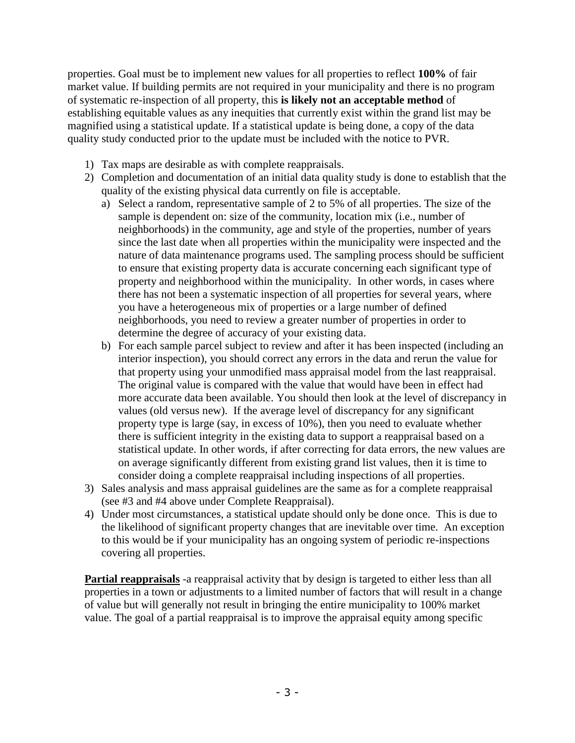properties. Goal must be to implement new values for all properties to reflect **100%** of fair market value. If building permits are not required in your municipality and there is no program of systematic re-inspection of all property, this **is likely not an acceptable method** of establishing equitable values as any inequities that currently exist within the grand list may be magnified using a statistical update. If a statistical update is being done, a copy of the data quality study conducted prior to the update must be included with the notice to PVR.

- 1) Tax maps are desirable as with complete reappraisals.
- 2) Completion and documentation of an initial data quality study is done to establish that the quality of the existing physical data currently on file is acceptable.
	- a) Select a random, representative sample of 2 to 5% of all properties. The size of the sample is dependent on: size of the community, location mix (i.e., number of neighborhoods) in the community, age and style of the properties, number of years since the last date when all properties within the municipality were inspected and the nature of data maintenance programs used. The sampling process should be sufficient to ensure that existing property data is accurate concerning each significant type of property and neighborhood within the municipality. In other words, in cases where there has not been a systematic inspection of all properties for several years, where you have a heterogeneous mix of properties or a large number of defined neighborhoods, you need to review a greater number of properties in order to determine the degree of accuracy of your existing data.
	- b) For each sample parcel subject to review and after it has been inspected (including an interior inspection), you should correct any errors in the data and rerun the value for that property using your unmodified mass appraisal model from the last reappraisal. The original value is compared with the value that would have been in effect had more accurate data been available. You should then look at the level of discrepancy in values (old versus new). If the average level of discrepancy for any significant property type is large (say, in excess of 10%), then you need to evaluate whether there is sufficient integrity in the existing data to support a reappraisal based on a statistical update. In other words, if after correcting for data errors, the new values are on average significantly different from existing grand list values, then it is time to consider doing a complete reappraisal including inspections of all properties.
- 3) Sales analysis and mass appraisal guidelines are the same as for a complete reappraisal (see #3 and #4 above under Complete Reappraisal).
- 4) Under most circumstances, a statistical update should only be done once. This is due to the likelihood of significant property changes that are inevitable over time. An exception to this would be if your municipality has an ongoing system of periodic re-inspections covering all properties.

**Partial reappraisals** -a reappraisal activity that by design is targeted to either less than all properties in a town or adjustments to a limited number of factors that will result in a change of value but will generally not result in bringing the entire municipality to 100% market value. The goal of a partial reappraisal is to improve the appraisal equity among specific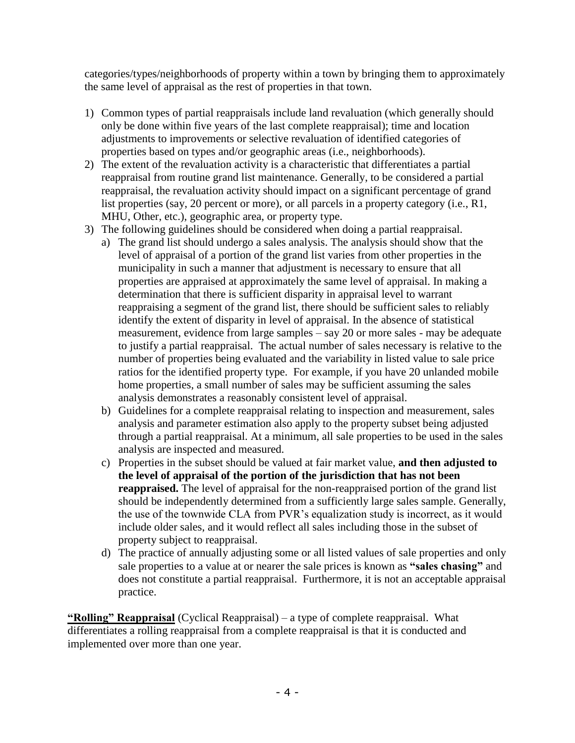categories/types/neighborhoods of property within a town by bringing them to approximately the same level of appraisal as the rest of properties in that town.

- 1) Common types of partial reappraisals include land revaluation (which generally should only be done within five years of the last complete reappraisal); time and location adjustments to improvements or selective revaluation of identified categories of properties based on types and/or geographic areas (i.e., neighborhoods).
- 2) The extent of the revaluation activity is a characteristic that differentiates a partial reappraisal from routine grand list maintenance. Generally, to be considered a partial reappraisal, the revaluation activity should impact on a significant percentage of grand list properties (say, 20 percent or more), or all parcels in a property category (i.e., R1, MHU, Other, etc.), geographic area, or property type.
- 3) The following guidelines should be considered when doing a partial reappraisal.
	- a) The grand list should undergo a sales analysis. The analysis should show that the level of appraisal of a portion of the grand list varies from other properties in the municipality in such a manner that adjustment is necessary to ensure that all properties are appraised at approximately the same level of appraisal. In making a determination that there is sufficient disparity in appraisal level to warrant reappraising a segment of the grand list, there should be sufficient sales to reliably identify the extent of disparity in level of appraisal. In the absence of statistical measurement, evidence from large samples – say 20 or more sales - may be adequate to justify a partial reappraisal. The actual number of sales necessary is relative to the number of properties being evaluated and the variability in listed value to sale price ratios for the identified property type. For example, if you have 20 unlanded mobile home properties, a small number of sales may be sufficient assuming the sales analysis demonstrates a reasonably consistent level of appraisal.
	- b) Guidelines for a complete reappraisal relating to inspection and measurement, sales analysis and parameter estimation also apply to the property subset being adjusted through a partial reappraisal. At a minimum, all sale properties to be used in the sales analysis are inspected and measured.
	- c) Properties in the subset should be valued at fair market value, **and then adjusted to the level of appraisal of the portion of the jurisdiction that has not been reappraised.** The level of appraisal for the non-reappraised portion of the grand list should be independently determined from a sufficiently large sales sample. Generally, the use of the townwide CLA from PVR's equalization study is incorrect, as it would include older sales, and it would reflect all sales including those in the subset of property subject to reappraisal.
	- d) The practice of annually adjusting some or all listed values of sale properties and only sale properties to a value at or nearer the sale prices is known as **"sales chasing"** and does not constitute a partial reappraisal. Furthermore, it is not an acceptable appraisal practice.

**"Rolling" Reappraisal** (Cyclical Reappraisal) – a type of complete reappraisal. What differentiates a rolling reappraisal from a complete reappraisal is that it is conducted and implemented over more than one year.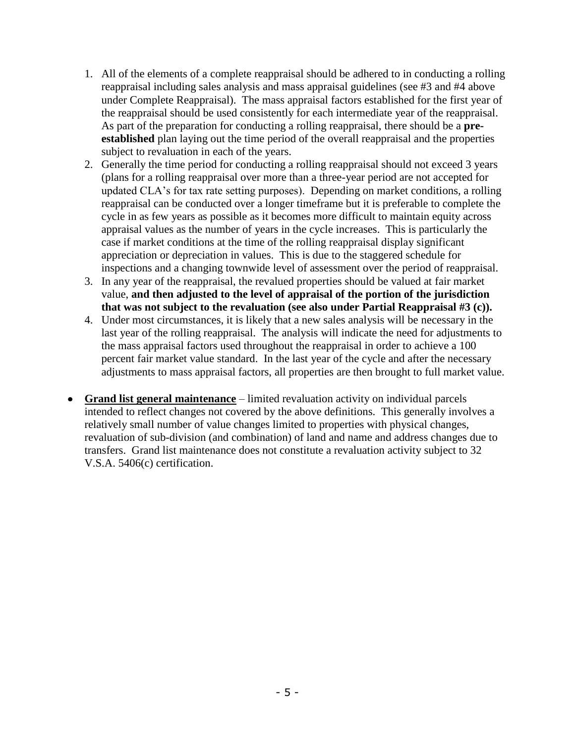- 1. All of the elements of a complete reappraisal should be adhered to in conducting a rolling reappraisal including sales analysis and mass appraisal guidelines (see #3 and #4 above under Complete Reappraisal). The mass appraisal factors established for the first year of the reappraisal should be used consistently for each intermediate year of the reappraisal. As part of the preparation for conducting a rolling reappraisal, there should be a **preestablished** plan laying out the time period of the overall reappraisal and the properties subject to revaluation in each of the years.
- 2. Generally the time period for conducting a rolling reappraisal should not exceed 3 years (plans for a rolling reappraisal over more than a three-year period are not accepted for updated CLA's for tax rate setting purposes). Depending on market conditions, a rolling reappraisal can be conducted over a longer timeframe but it is preferable to complete the cycle in as few years as possible as it becomes more difficult to maintain equity across appraisal values as the number of years in the cycle increases. This is particularly the case if market conditions at the time of the rolling reappraisal display significant appreciation or depreciation in values. This is due to the staggered schedule for inspections and a changing townwide level of assessment over the period of reappraisal.
- 3. In any year of the reappraisal, the revalued properties should be valued at fair market value, **and then adjusted to the level of appraisal of the portion of the jurisdiction that was not subject to the revaluation (see also under Partial Reappraisal #3 (c)).**
- 4. Under most circumstances, it is likely that a new sales analysis will be necessary in the last year of the rolling reappraisal. The analysis will indicate the need for adjustments to the mass appraisal factors used throughout the reappraisal in order to achieve a 100 percent fair market value standard. In the last year of the cycle and after the necessary adjustments to mass appraisal factors, all properties are then brought to full market value.
- **Grand list general maintenance** limited revaluation activity on individual parcels intended to reflect changes not covered by the above definitions. This generally involves a relatively small number of value changes limited to properties with physical changes, revaluation of sub-division (and combination) of land and name and address changes due to transfers. Grand list maintenance does not constitute a revaluation activity subject to 32 V.S.A. 5406(c) certification.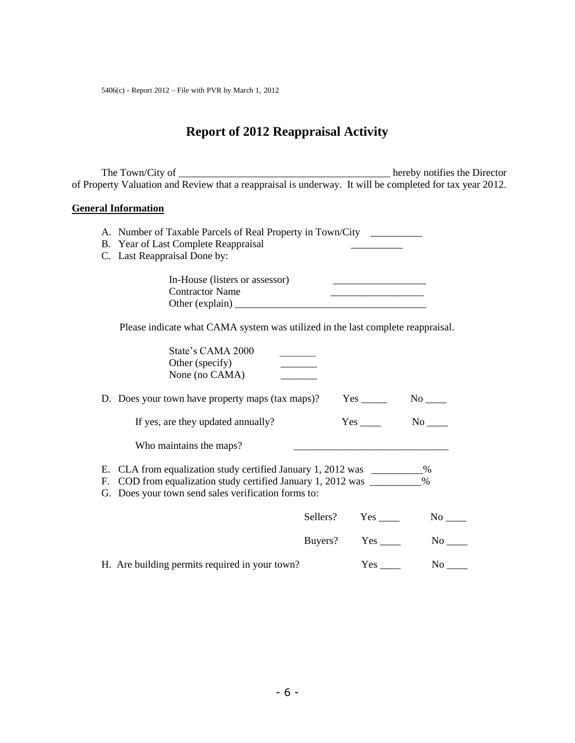## **Report of 2012 Reappraisal Activity**

The Town/City of \_\_\_\_\_\_\_\_\_\_\_\_\_\_\_\_\_\_\_\_\_\_\_\_\_\_\_\_\_\_\_\_\_\_\_\_\_\_\_\_\_ hereby notifies the Director of Property Valuation and Review that a reappraisal is underway. It will be completed for tax year 2012.

#### **General Information**

- A. Number of Taxable Parcels of Real Property in Town/City \_\_\_\_\_\_\_\_\_\_
- B. Year of Last Complete Reappraisal
- C. Last Reappraisal Done by:

| In-House (listers or assessor) |  |
|--------------------------------|--|
| <b>Contractor Name</b>         |  |
| Other (explain)                |  |

Please indicate what CAMA system was utilized in the last complete reappraisal.

| State's CAMA 2000<br>Other (specify)                                                                                                                                                                         |                    |                                                                                                                                                                                                                                |
|--------------------------------------------------------------------------------------------------------------------------------------------------------------------------------------------------------------|--------------------|--------------------------------------------------------------------------------------------------------------------------------------------------------------------------------------------------------------------------------|
| None (no CAMA)                                                                                                                                                                                               |                    |                                                                                                                                                                                                                                |
| D. Does your town have property maps (tax maps)?                                                                                                                                                             |                    | $No$ <sub>____</sub>                                                                                                                                                                                                           |
| If yes, are they updated annually?                                                                                                                                                                           |                    | No no                                                                                                                                                                                                                          |
| Who maintains the maps?                                                                                                                                                                                      |                    |                                                                                                                                                                                                                                |
| E. CLA from equalization study certified January 1, 2012 was __________ %<br>F. COD from equalization study certified January 1, 2012 was _________ %<br>G. Does your town send sales verification forms to: |                    |                                                                                                                                                                                                                                |
|                                                                                                                                                                                                              | Sellers? Yes       | $No$ <sub>____</sub>                                                                                                                                                                                                           |
|                                                                                                                                                                                                              | Buyers? Yes ______ | No the set of the set of the set of the set of the set of the set of the set of the set of the set of the set of the set of the set of the set of the set of the set of the set of the set of the set of the set of the set of |
| H. Are building permits required in your town?                                                                                                                                                               |                    | No the set of $\sim$                                                                                                                                                                                                           |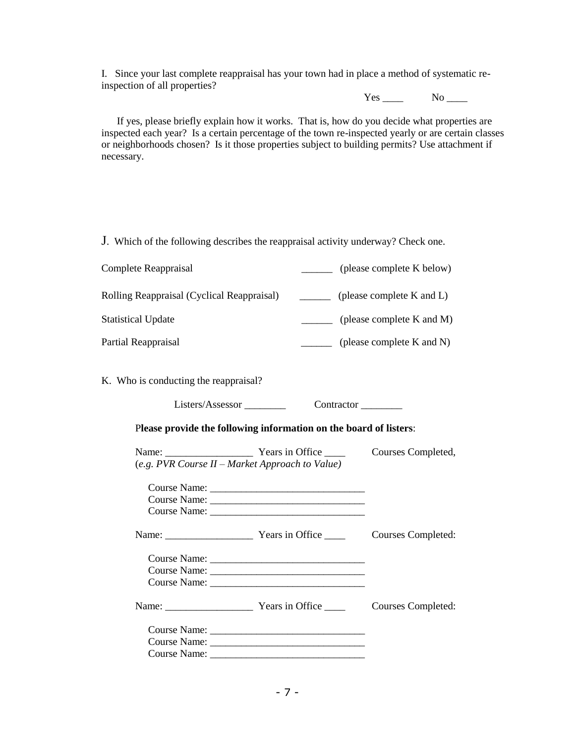I. Since your last complete reappraisal has your town had in place a method of systematic reinspection of all properties?

 $Yes \_\_\_\_$  No  $\_\_\_\_\$ 

 If yes, please briefly explain how it works. That is, how do you decide what properties are inspected each year? Is a certain percentage of the town re-inspected yearly or are certain classes or neighborhoods chosen? Is it those properties subject to building permits? Use attachment if necessary.

J. Which of the following describes the reappraisal activity underway? Check one.

| Complete Reappraisal                       | (please complete K below)      |
|--------------------------------------------|--------------------------------|
| Rolling Reappraisal (Cyclical Reappraisal) | (please complete K and L)      |
| <b>Statistical Update</b>                  | (please complete $K$ and $M$ ) |
| Partial Reappraisal                        | (please complete K and N)      |

K. Who is conducting the reappraisal?

Listers/Assessor \_\_\_\_\_\_\_\_\_ Contractor \_\_\_\_\_\_\_

P**lease provide the following information on the board of listers**:

|                                                 | Courses Completed, |
|-------------------------------------------------|--------------------|
| (e.g. PVR Course II – Market Approach to Value) |                    |
|                                                 |                    |
|                                                 |                    |
|                                                 |                    |
|                                                 | Courses Completed: |
|                                                 |                    |
|                                                 |                    |
|                                                 |                    |
|                                                 | Courses Completed: |
|                                                 |                    |
|                                                 |                    |
|                                                 |                    |
|                                                 |                    |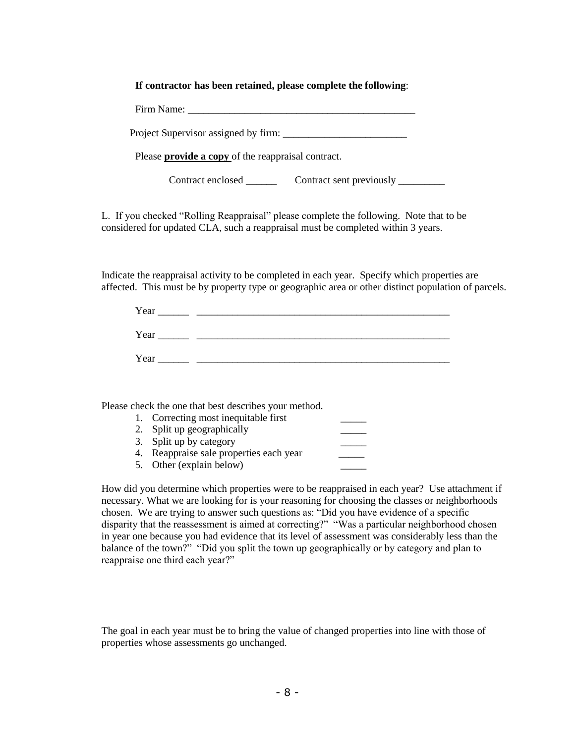#### **If contractor has been retained, please complete the following**:

Project Supervisor assigned by firm: \_\_\_\_\_\_\_\_\_\_\_\_\_\_\_\_\_\_\_\_\_\_\_\_

Please **provide a copy** of the reappraisal contract.

Contract enclosed \_\_\_\_\_\_\_\_ Contract sent previously \_\_\_\_\_\_\_\_\_

L. If you checked "Rolling Reappraisal" please complete the following. Note that to be considered for updated CLA, such a reappraisal must be completed within 3 years.

Indicate the reappraisal activity to be completed in each year. Specify which properties are affected. This must be by property type or geographic area or other distinct population of parcels.

| Year |  |
|------|--|
| Year |  |
| Year |  |

Please check the one that best describes your method.

| 1. Correcting most inequitable first    |  |
|-----------------------------------------|--|
| 2. Split up geographically              |  |
| 3. Split up by category                 |  |
| 4. Reappraise sale properties each year |  |
| 5. Other (explain below)                |  |

How did you determine which properties were to be reappraised in each year? Use attachment if necessary. What we are looking for is your reasoning for choosing the classes or neighborhoods chosen. We are trying to answer such questions as: "Did you have evidence of a specific disparity that the reassessment is aimed at correcting?" "Was a particular neighborhood chosen in year one because you had evidence that its level of assessment was considerably less than the balance of the town?" "Did you split the town up geographically or by category and plan to reappraise one third each year?"

The goal in each year must be to bring the value of changed properties into line with those of properties whose assessments go unchanged.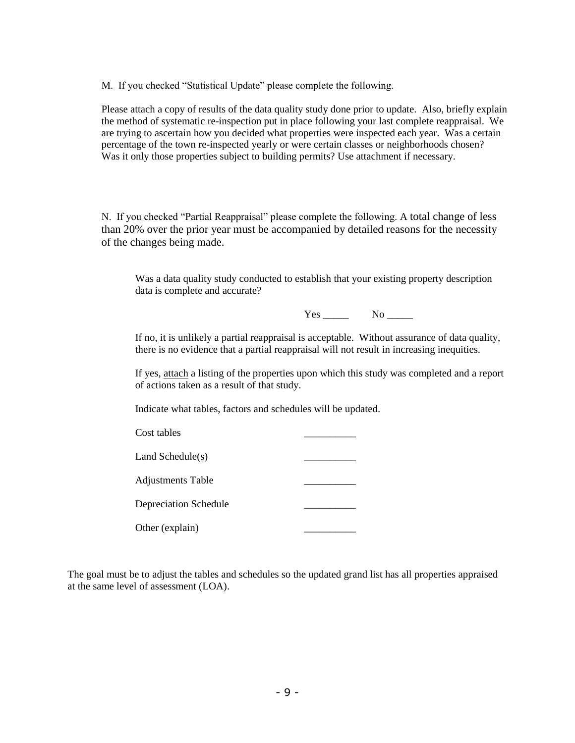M. If you checked "Statistical Update" please complete the following.

Please attach a copy of results of the data quality study done prior to update. Also, briefly explain the method of systematic re-inspection put in place following your last complete reappraisal. We are trying to ascertain how you decided what properties were inspected each year. Was a certain percentage of the town re-inspected yearly or were certain classes or neighborhoods chosen? Was it only those properties subject to building permits? Use attachment if necessary.

N. If you checked "Partial Reappraisal" please complete the following. A total change of less than 20% over the prior year must be accompanied by detailed reasons for the necessity of the changes being made.

Was a data quality study conducted to establish that your existing property description data is complete and accurate?

Yes No

If no, it is unlikely a partial reappraisal is acceptable. Without assurance of data quality, there is no evidence that a partial reappraisal will not result in increasing inequities.

If yes, attach a listing of the properties upon which this study was completed and a report of actions taken as a result of that study.

Indicate what tables, factors and schedules will be updated.

| Cost tables                  |  |
|------------------------------|--|
| Land Schedule(s)             |  |
| <b>Adjustments Table</b>     |  |
| <b>Depreciation Schedule</b> |  |
| Other (explain)              |  |

The goal must be to adjust the tables and schedules so the updated grand list has all properties appraised at the same level of assessment (LOA).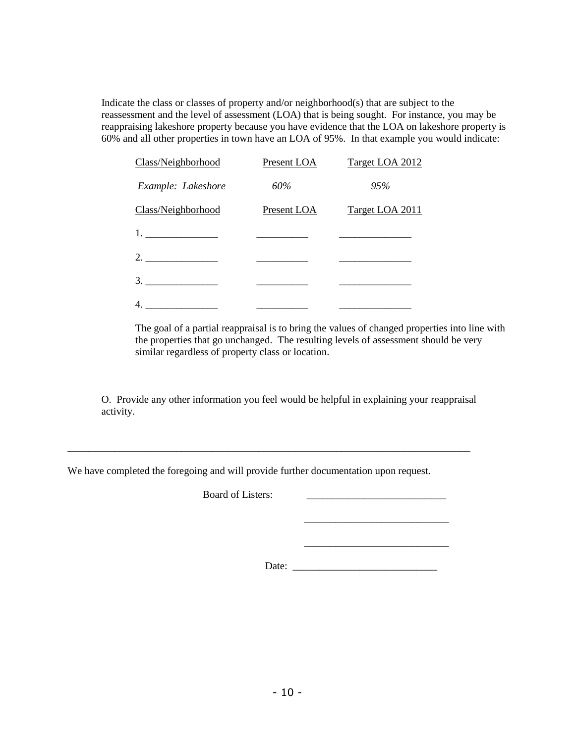Indicate the class or classes of property and/or neighborhood(s) that are subject to the reassessment and the level of assessment (LOA) that is being sought. For instance, you may be reappraising lakeshore property because you have evidence that the LOA on lakeshore property is 60% and all other properties in town have an LOA of 95%. In that example you would indicate:

| Class/Neighborhood | Present LOA       | Target LOA 2012 |
|--------------------|-------------------|-----------------|
| Example: Lakeshore | 60%               | 95%             |
| Class/Neighborhood | Present LOA       | Target LOA 2011 |
|                    |                   |                 |
| 2.                 |                   |                 |
|                    |                   |                 |
|                    | _________________ |                 |

The goal of a partial reappraisal is to bring the values of changed properties into line with the properties that go unchanged. The resulting levels of assessment should be very similar regardless of property class or location.

O. Provide any other information you feel would be helpful in explaining your reappraisal activity.

We have completed the foregoing and will provide further documentation upon request.

\_\_\_\_\_\_\_\_\_\_\_\_\_\_\_\_\_\_\_\_\_\_\_\_\_\_\_\_\_\_\_\_\_\_\_\_\_\_\_\_\_\_\_\_\_\_\_\_\_\_\_\_\_\_\_\_\_\_\_\_\_\_\_\_\_\_\_\_\_\_\_\_\_\_\_\_\_\_

Board of Listers:

Date: \_\_\_\_\_\_\_\_\_\_\_\_\_\_\_\_\_\_\_\_\_\_\_\_\_\_\_\_

\_\_\_\_\_\_\_\_\_\_\_\_\_\_\_\_\_\_\_\_\_\_\_\_\_\_\_\_

 $\frac{1}{\sqrt{2}}$  ,  $\frac{1}{\sqrt{2}}$  ,  $\frac{1}{\sqrt{2}}$  ,  $\frac{1}{\sqrt{2}}$  ,  $\frac{1}{\sqrt{2}}$  ,  $\frac{1}{\sqrt{2}}$  ,  $\frac{1}{\sqrt{2}}$  ,  $\frac{1}{\sqrt{2}}$  ,  $\frac{1}{\sqrt{2}}$  ,  $\frac{1}{\sqrt{2}}$  ,  $\frac{1}{\sqrt{2}}$  ,  $\frac{1}{\sqrt{2}}$  ,  $\frac{1}{\sqrt{2}}$  ,  $\frac{1}{\sqrt{2}}$  ,  $\frac{1}{\sqrt{2}}$